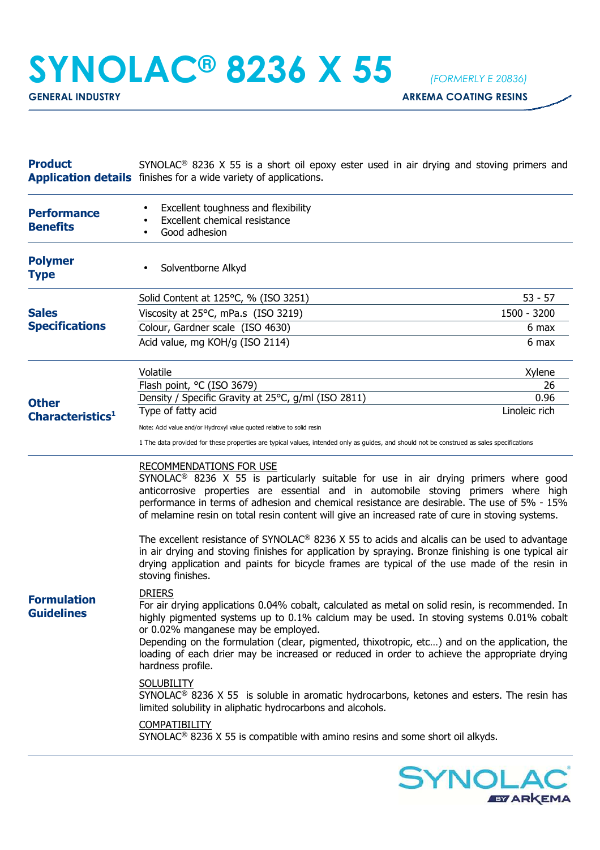## **SYNOLAC® 8236 X 55** *(FORMERLY E 20836)*

**GENERAL INDUSTRY GENERAL INDUSTRY** 

| SYNOLAC <sup>®</sup> 8236 X 55 is a short oil epoxy ester used in air drying and stoving primers and<br><b>Application details</b> finishes for a wide variety of applications.                                                                                                                                                                                                                                                                                                                                                                                                                                                                                                                                                                                                             |                                                                                                                                                                                                                                                                                                                                                    |
|---------------------------------------------------------------------------------------------------------------------------------------------------------------------------------------------------------------------------------------------------------------------------------------------------------------------------------------------------------------------------------------------------------------------------------------------------------------------------------------------------------------------------------------------------------------------------------------------------------------------------------------------------------------------------------------------------------------------------------------------------------------------------------------------|----------------------------------------------------------------------------------------------------------------------------------------------------------------------------------------------------------------------------------------------------------------------------------------------------------------------------------------------------|
| Excellent toughness and flexibility<br>Excellent chemical resistance<br>Good adhesion                                                                                                                                                                                                                                                                                                                                                                                                                                                                                                                                                                                                                                                                                                       |                                                                                                                                                                                                                                                                                                                                                    |
| Solventborne Alkyd                                                                                                                                                                                                                                                                                                                                                                                                                                                                                                                                                                                                                                                                                                                                                                          |                                                                                                                                                                                                                                                                                                                                                    |
| Solid Content at 125°C, % (ISO 3251)                                                                                                                                                                                                                                                                                                                                                                                                                                                                                                                                                                                                                                                                                                                                                        | $53 - 57$                                                                                                                                                                                                                                                                                                                                          |
| Viscosity at 25°C, mPa.s (ISO 3219)                                                                                                                                                                                                                                                                                                                                                                                                                                                                                                                                                                                                                                                                                                                                                         | 1500 - 3200                                                                                                                                                                                                                                                                                                                                        |
| Colour, Gardner scale (ISO 4630)                                                                                                                                                                                                                                                                                                                                                                                                                                                                                                                                                                                                                                                                                                                                                            | 6 max                                                                                                                                                                                                                                                                                                                                              |
| Acid value, mg KOH/g (ISO 2114)                                                                                                                                                                                                                                                                                                                                                                                                                                                                                                                                                                                                                                                                                                                                                             | 6 max                                                                                                                                                                                                                                                                                                                                              |
| Volatile                                                                                                                                                                                                                                                                                                                                                                                                                                                                                                                                                                                                                                                                                                                                                                                    | Xylene                                                                                                                                                                                                                                                                                                                                             |
|                                                                                                                                                                                                                                                                                                                                                                                                                                                                                                                                                                                                                                                                                                                                                                                             | 26                                                                                                                                                                                                                                                                                                                                                 |
|                                                                                                                                                                                                                                                                                                                                                                                                                                                                                                                                                                                                                                                                                                                                                                                             | 0.96<br>Linoleic rich                                                                                                                                                                                                                                                                                                                              |
|                                                                                                                                                                                                                                                                                                                                                                                                                                                                                                                                                                                                                                                                                                                                                                                             |                                                                                                                                                                                                                                                                                                                                                    |
|                                                                                                                                                                                                                                                                                                                                                                                                                                                                                                                                                                                                                                                                                                                                                                                             |                                                                                                                                                                                                                                                                                                                                                    |
|                                                                                                                                                                                                                                                                                                                                                                                                                                                                                                                                                                                                                                                                                                                                                                                             |                                                                                                                                                                                                                                                                                                                                                    |
| <b>RECOMMENDATIONS FOR USE</b><br>SYNOLAC <sup>®</sup> 8236 X 55 is particularly suitable for use in air drying primers where good<br>anticorrosive properties are essential and in automobile stoving primers where high<br>performance in terms of adhesion and chemical resistance are desirable. The use of 5% - 15%<br>of melamine resin on total resin content will give an increased rate of cure in stoving systems.<br>The excellent resistance of SYNOLAC <sup>®</sup> 8236 X 55 to acids and alcalis can be used to advantage<br>in air drying and stoving finishes for application by spraying. Bronze finishing is one typical air<br>drying application and paints for bicycle frames are typical of the use made of the resin in                                             |                                                                                                                                                                                                                                                                                                                                                    |
| <b>DRIERS</b><br>For air drying applications 0.04% cobalt, calculated as metal on solid resin, is recommended. In<br>highly pigmented systems up to 0.1% calcium may be used. In stoving systems 0.01% cobalt<br>or 0.02% manganese may be employed.<br>Depending on the formulation (clear, pigmented, thixotropic, etc) and on the application, the<br>loading of each drier may be increased or reduced in order to achieve the appropriate drying<br>hardness profile.<br><b>SOLUBILITY</b><br>SYNOLAC <sup>®</sup> 8236 X 55 is soluble in aromatic hydrocarbons, ketones and esters. The resin has<br>limited solubility in aliphatic hydrocarbons and alcohols.<br><b>COMPATIBILITY</b><br>SYNOLAC <sup>®</sup> 8236 X 55 is compatible with amino resins and some short oil alkyds. |                                                                                                                                                                                                                                                                                                                                                    |
|                                                                                                                                                                                                                                                                                                                                                                                                                                                                                                                                                                                                                                                                                                                                                                                             | Flash point, °C (ISO 3679)<br>Density / Specific Gravity at 25°C, g/ml (ISO 2811)<br>Type of fatty acid<br>Note: Acid value and/or Hydroxyl value quoted relative to solid resin<br>1 The data provided for these properties are typical values, intended only as guides, and should not be construed as sales specifications<br>stoving finishes. |